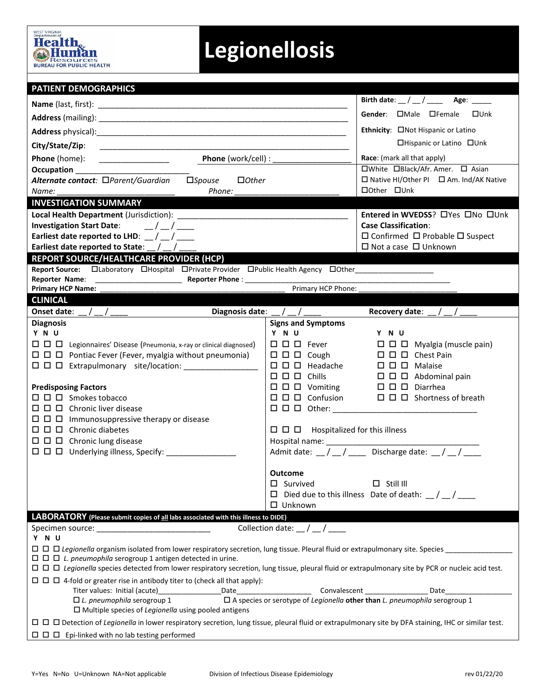

## **Legionellosis**

| <b>PATIENT DEMOGRAPHICS</b>                                                                                                                                                                                                            |                                                                                            |                                                                       |  |  |  |  |  |  |
|----------------------------------------------------------------------------------------------------------------------------------------------------------------------------------------------------------------------------------------|--------------------------------------------------------------------------------------------|-----------------------------------------------------------------------|--|--|--|--|--|--|
|                                                                                                                                                                                                                                        |                                                                                            | Birth date: $\frac{1}{2}$ / $\frac{1}{2}$ Age: $\frac{1}{2}$          |  |  |  |  |  |  |
|                                                                                                                                                                                                                                        | Gender: <b>OMale OFemale</b><br>□Unk                                                       |                                                                       |  |  |  |  |  |  |
|                                                                                                                                                                                                                                        | Ethnicity: ONot Hispanic or Latino                                                         |                                                                       |  |  |  |  |  |  |
| City/State/Zip:                                                                                                                                                                                                                        | □Hispanic or Latino □Unk                                                                   |                                                                       |  |  |  |  |  |  |
| Phone (work/cell) : _<br><b>Phone</b> (home):                                                                                                                                                                                          | <b>Race:</b> (mark all that apply)                                                         |                                                                       |  |  |  |  |  |  |
| <b>Occupation CONSIDERING CONSIDERING CONSIDERING CONSIDERING CONSIDERING CONSIDERING CONSIDERING CONSIDERING CON</b>                                                                                                                  | □White □Black/Afr. Amer. □ Asian                                                           |                                                                       |  |  |  |  |  |  |
| Alternate contact: <b>DParent/Guardian</b><br>$\square$ <i>Spouse</i><br>$\Box$ Other                                                                                                                                                  | $\Box$ Native HI/Other PI $\Box$ Am. Ind/AK Native                                         |                                                                       |  |  |  |  |  |  |
| Name:<br>Phone:                                                                                                                                                                                                                        | □ Other □ Unk                                                                              |                                                                       |  |  |  |  |  |  |
| <b>INVESTIGATION SUMMARY</b>                                                                                                                                                                                                           |                                                                                            |                                                                       |  |  |  |  |  |  |
|                                                                                                                                                                                                                                        | Entered in WVEDSS? OYes ONo OUnk                                                           |                                                                       |  |  |  |  |  |  |
| Investigation Start Date: $\frac{1}{2}$ / $\frac{1}{2}$<br>Earliest date reported to LHD: $\frac{1}{2}$ / $\frac{1}{2}$                                                                                                                | <b>Case Classification:</b><br>$\Box$ Confirmed $\Box$ Probable $\Box$ Suspect             |                                                                       |  |  |  |  |  |  |
| Earliest date reported to State: $\angle$ / $\angle$                                                                                                                                                                                   | $\Box$ Not a case $\Box$ Unknown                                                           |                                                                       |  |  |  |  |  |  |
| <b>REPORT SOURCE/HEALTHCARE PROVIDER (HCP)</b>                                                                                                                                                                                         |                                                                                            |                                                                       |  |  |  |  |  |  |
| Report Source: Claboratory CHospital CPrivate Provider CPublic Health Agency ClOther_______________                                                                                                                                    |                                                                                            |                                                                       |  |  |  |  |  |  |
|                                                                                                                                                                                                                                        | Primary HCP Phone:                                                                         |                                                                       |  |  |  |  |  |  |
| <b>Primary HCP Name:</b>                                                                                                                                                                                                               |                                                                                            |                                                                       |  |  |  |  |  |  |
| <b>CLINICAL</b>                                                                                                                                                                                                                        |                                                                                            |                                                                       |  |  |  |  |  |  |
| <b>Diagnosis</b>                                                                                                                                                                                                                       | Diagnosis date: $\frac{1}{2}$ / $\frac{1}{2}$ / $\frac{1}{2}$<br><b>Signs and Symptoms</b> | Recovery date: $\frac{1}{2}$                                          |  |  |  |  |  |  |
| Y N U                                                                                                                                                                                                                                  | Y N U                                                                                      | Y N U                                                                 |  |  |  |  |  |  |
| $\Box$ $\Box$ Legionnaires' Disease (Pneumonia, x-ray or clinical diagnosed)                                                                                                                                                           | $\Box$ $\Box$ $\Box$ Fever                                                                 | $\Box$ $\Box$ $\Box$ Myalgia (muscle pain)                            |  |  |  |  |  |  |
| $\Box$ $\Box$ Pontiac Fever (Fever, myalgia without pneumonia)                                                                                                                                                                         | $\Box$ $\Box$ $\Box$ Cough                                                                 | $\Box$ $\Box$ $\Box$ Chest Pain                                       |  |  |  |  |  |  |
|                                                                                                                                                                                                                                        | $\square$ $\square$ Headache                                                               | $\Box$ $\Box$ $\Box$ Malaise                                          |  |  |  |  |  |  |
|                                                                                                                                                                                                                                        | $\square$ $\square$ $\square$ Chills                                                       | $\Box$ $\Box$ $\Box$ Abdominal pain                                   |  |  |  |  |  |  |
| <b>Predisposing Factors</b>                                                                                                                                                                                                            | $\Box$ $\Box$ $\Box$ Vomiting                                                              | $\Box$ $\Box$ $\Box$ Diarrhea                                         |  |  |  |  |  |  |
| $\Box$ $\Box$ $\Box$ Smokes tobacco                                                                                                                                                                                                    | $\square$ $\square$ $\square$ Confusion                                                    | $\Box$ $\Box$ Shortness of breath                                     |  |  |  |  |  |  |
| $\Box$ $\Box$ Chronic liver disease                                                                                                                                                                                                    |                                                                                            |                                                                       |  |  |  |  |  |  |
| $\Box$ $\Box$ Immunosuppressive therapy or disease                                                                                                                                                                                     |                                                                                            |                                                                       |  |  |  |  |  |  |
| $\Box$ $\Box$ $\Box$ Chronic diabetes<br>$\Box$ $\Box$ $\Box$ Chronic lung disease                                                                                                                                                     | $\Box$ $\Box$ Hospitalized for this illness                                                |                                                                       |  |  |  |  |  |  |
| $\Box$ $\Box$ Underlying illness, Specify:                                                                                                                                                                                             |                                                                                            |                                                                       |  |  |  |  |  |  |
|                                                                                                                                                                                                                                        |                                                                                            |                                                                       |  |  |  |  |  |  |
|                                                                                                                                                                                                                                        | <b>Outcome</b>                                                                             |                                                                       |  |  |  |  |  |  |
|                                                                                                                                                                                                                                        | $\Box$ Survived                                                                            | $\Box$ Still III                                                      |  |  |  |  |  |  |
|                                                                                                                                                                                                                                        |                                                                                            | Died due to this illness Date of death: $\frac{1}{2}$ / $\frac{1}{2}$ |  |  |  |  |  |  |
|                                                                                                                                                                                                                                        | □ Unknown                                                                                  |                                                                       |  |  |  |  |  |  |
| LABORATORY (Please submit copies of all labs associated with this illness to DIDE)                                                                                                                                                     |                                                                                            |                                                                       |  |  |  |  |  |  |
| Specimen source: the contract of the contract of the contract of the contract of the contract of the contract of the contract of the contract of the contract of the contract of the contract of the contract of the contract<br>Y N U | Collection date: $\angle$ / $\angle$                                                       |                                                                       |  |  |  |  |  |  |
| $\Box$ $\Box$ Legionella organism isolated from lower respiratory secretion, lung tissue. Pleural fluid or extrapulmonary site. Species _                                                                                              |                                                                                            |                                                                       |  |  |  |  |  |  |
| $\Box$ $\Box$ $\Box$ L. pneumophila serogroup 1 antigen detected in urine.                                                                                                                                                             |                                                                                            |                                                                       |  |  |  |  |  |  |
| □ □ □ Legionella species detected from lower respiratory secretion, lung tissue, pleural fluid or extrapulmonary site by PCR or nucleic acid test.                                                                                     |                                                                                            |                                                                       |  |  |  |  |  |  |
| $\Box$ $\Box$ 4-fold or greater rise in antibody titer to (check all that apply):                                                                                                                                                      |                                                                                            |                                                                       |  |  |  |  |  |  |
| Titer values: Initial (acute)<br>Date                                                                                                                                                                                                  |                                                                                            | Convalescent _______________<br>Date                                  |  |  |  |  |  |  |
| $\square$ A species or serotype of Legionella other than L. pneumophila serogroup 1<br>$\Box$ L. pneumophila serogroup 1                                                                                                               |                                                                                            |                                                                       |  |  |  |  |  |  |
| $\Box$ Multiple species of Legionella using pooled antigens                                                                                                                                                                            |                                                                                            |                                                                       |  |  |  |  |  |  |
| □ □ □ Detection of Legionella in lower respiratory secretion, lung tissue, pleural fluid or extrapulmonary site by DFA staining, IHC or similar test.                                                                                  |                                                                                            |                                                                       |  |  |  |  |  |  |
| $\Box$ $\Box$ Epi-linked with no lab testing performed                                                                                                                                                                                 |                                                                                            |                                                                       |  |  |  |  |  |  |